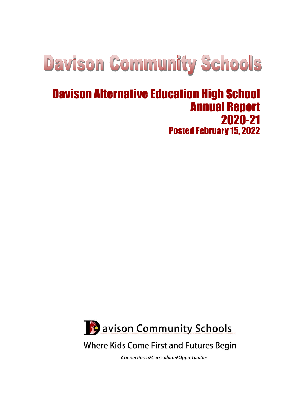# **Davison Community Schools**

# Davison Alternative Education High School Annual Report 2020-21 Posted February 15, 2022



# **Where Kids Come First and Futures Begin**

Connections : Curriculum : Opportunities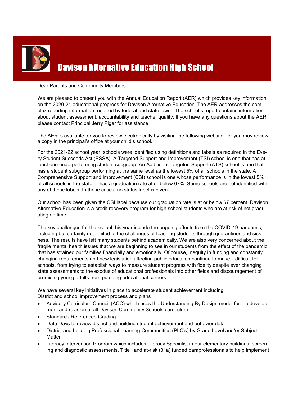

# Davison Alternative Education High School

#### Dear Parents and Community Members:

We are pleased to present you with the Annual Education Report (AER) which provides key information on the 2020-21 educational progress for Davison Alternative Education. The AER addresses the complex reporting information required by federal and state laws. The school's report contains information about student assessment, accountability and teacher quality. If you have any questions about the AER, please contact Principal Jerry Piger for assistance.

The AER is available for you to review electronically by visiting the following website: or you may review a copy in the principal's office at your child's school.

For the 2021-22 school year, schools were identified using definitions and labels as required in the Every Student Succeeds Act (ESSA). A Targeted Support and Improvement (TSI) school is one that has at least one underperforming student subgroup. An Additional Targeted Support (ATS) school is one that has a student subgroup performing at the same level as the lowest 5% of all schools in the state. A Comprehensive Support and Improvement (CSI) school is one whose performance is in the lowest 5% of all schools in the state or has a graduation rate at or below 67%. Some schools are not identified with any of these labels. In these cases, no status label is given.

Our school has been given the CSI label because our graduation rate is at or below 67 percent. Davison Alternative Education is a credit recovery program for high school students who are at risk of not graduating on time.

The key challenges for the school this year include the ongoing effects from the COVID-19 pandemic, including but certainly not limited to the challenges of teaching students through quarantines and sickness. The results have left many students behind academically. We are also very concerned about the fragile mental health issues that we are beginning to see in our students from the effect of the pandemic that has strained our families financially and emotionally. Of course, inequity in funding and constantly changing requirements and new legislation affecting public education continue to make it difficult for schools, from trying to establish ways to measure student progress with fidelity despite ever changing state assessments to the exodus of educational professionals into other fields and discouragement of promising young adults from pursuing educational careers.

We have several key initiatives in place to accelerate student achievement including: District and school improvement process and plans

- Advisory Curriculum Council (ACC) which uses the Understanding By Design model for the development and revision of all Davison Community Schools curriculum
- Standards Referenced Grading
- Data Days to review district and building student achievement and behavior data
- District and building Professional Learning Communities (PLC's) by Grade Level and/or Subject **Matter**
- Literacy Intervention Program which includes Literacy Specialist in our elementary buildings, screening and diagnostic assessments, Title I and at-risk (31a) funded paraprofessionals to help implement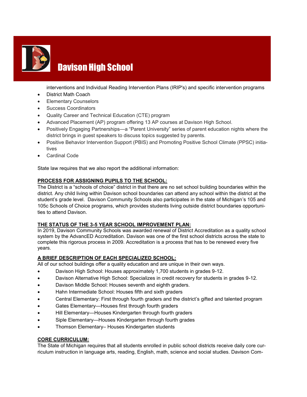

# Davison High School

interventions and Individual Reading Intervention Plans (IRIP's) and specific intervention programs

- District Math Coach
- Elementary Counselors
- Success Coordinators
- Quality Career and Technical Education (CTE) program
- Advanced Placement (AP) program offering 13 AP courses at Davison High School.
- Positively Engaging Partnerships—a "Parent University" series of parent education nights where the district brings in guest speakers to discuss topics suggested by parents.
- Positive Behavior Intervention Support (PBIS) and Promoting Positive School Climate (PPSC) initiatives
- Cardinal Code

State law requires that we also report the additional information:

#### **PROCESS FOR ASSIGNING PUPILS TO THE SCHOOL:**

The District is a "schools of choice" district in that there are no set school building boundaries within the district. Any child living within Davison school boundaries can attend any school within the district at the student's grade level. Davison Community Schools also participates in the state of Michigan's 105 and 105c Schools of Choice programs, which provides students living outside district boundaries opportunities to attend Davison.

#### **THE STATUS OF THE 3-5 YEAR SCHOOL IMPROVEMENT PLAN:**

In 2019, Davison Community Schools was awarded renewal of District Accreditation as a quality school system by the AdvancED Accreditation. Davison was one of the first school districts across the state to complete this rigorous process in 2009. Accreditation is a process that has to be renewed every five years.

#### **A BRIEF DESCRIPTION OF EACH SPECIALIZED SCHOOL:**

All of our school buildings offer a quality education and are unique in their own ways.

- Davison High School: Houses approximately 1,700 students in grades 9-12.
- Davison Alternative High School: Specializes in credit recovery for students in grades 9-12.
- Davison Middle School: Houses seventh and eighth graders.
- Hahn Intermediate School: Houses fifth and sixth graders
- Central Elementary: First through fourth graders and the district's gifted and talented program
- Gates Elementary—Houses first through fourth graders
- Hill Elementary—Houses Kindergarten through fourth graders
- Siple Elementary—Houses Kindergarten through fourth grades
- Thomson Elementary– Houses Kindergarten students

#### **CORE CURRICULUM:**

The State of Michigan requires that all students enrolled in public school districts receive daily core curriculum instruction in language arts, reading, English, math, science and social studies. Davison Com-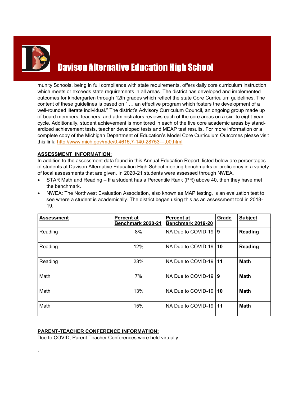

.

# Davison Alternative Education High School

munity Schools, being in full compliance with state requirements, offers daily core curriculum instruction which meets or exceeds state requirements in all areas. The district has developed and implemented outcomes for kindergarten through 12th grades which reflect the state Core Curriculum guidelines. The content of these guidelines is based on " … an effective program which fosters the development of a well-rounded literate individual." The district's Advisory Curriculum Council, an ongoing group made up of board members, teachers, and administrators reviews each of the core areas on a six- to eight-year cycle. Additionally, student achievement is monitored in each of the five core academic areas by standardized achievement tests, teacher developed tests and MEAP test results. For more information or a complete copy of the Michigan Department of Education's Model Core Curriculum Outcomes please visit this link: [http://www.mich.gov/mde/0,4615,7](http://www.mich.gov/mde/0,4615,7-140-28753---,00.html)-140-28753---,00.html

#### **ASSESSMENT INFORMATION:**

In addition to the assessment data found in this Annual Education Report, listed below are percentages of students at Davison Alternative Education High School meeting benchmarks or proficiency in a variety of local assessments that are given. In 2020-21 students were assessed through NWEA.

- STAR Math and Reading If a student has a Percentile Rank (PR) above 40, then they have met the benchmark.
- NWEA: The Northwest Evaluation Association, also known as MAP testing, is an evaluation test to see where a student is academically. The district began using this as an assessment tool in 2018- 19.

| <b>Assessment</b> | <b>Percent at</b><br>Benchmark 2020-21 | <b>Percent at</b><br>Benchmark 2019-20 | Grade | <b>Subject</b> |
|-------------------|----------------------------------------|----------------------------------------|-------|----------------|
| Reading           | 8%                                     | NA Due to COVID-19                     | l 9   | <b>Reading</b> |
| Reading           | 12%                                    | NA Due to COVID-19                     | 10    | <b>Reading</b> |
| Reading           | 23%                                    | NA Due to COVID-19                     | 11    | <b>Math</b>    |
| Math              | 7%                                     | NA Due to COVID-19                     | و ا   | <b>Math</b>    |
| Math              | 13%                                    | NA Due to COVID-19                     | 10    | <b>Math</b>    |
| Math              | 15%                                    | NA Due to COVID-19                     | 11    | <b>Math</b>    |

#### **PARENT-TEACHER CONFERENCE INFORMATION:**

Due to COVID, Parent Teacher Conferences were held virtually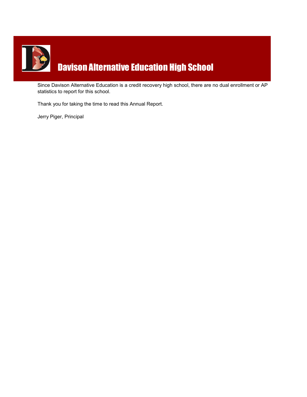

Since Davison Alternative Education is a credit recovery high school, there are no dual enrollment or AP statistics to report for this school.

Thank you for taking the time to read this Annual Report.

Jerry Piger, Principal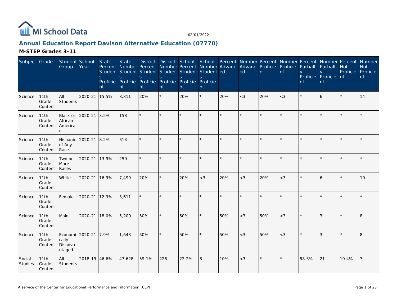

# **Annual Education Report Davison Alternative Education (07770)**

**M-STEP Grades 3-11**

| Subject Grade     |                          | Student School<br>Group                       | Year          | State<br><sub>S</sub><br>nt | <b>State</b><br>S<br>nt | Percent Number Percent Number Percent Number Advanc Advanc Proficie Proficie<br>Student Student Student Student Student Student ed<br>S<br>Proficie Proficie Proficie Proficie Proficie Proficie<br>nt | S.<br>nt | <sub>S</sub><br>nt | S.<br>nt |         | ed      | nt      | nt    | Partiall<br>nt | Partiall<br>Proficie Proficie nt<br>nt | <b>Not</b><br>Proficie Proficie | District District School School Percent Number Percent Number Percent Number Percent Number<br><b>Not</b><br>nt |
|-------------------|--------------------------|-----------------------------------------------|---------------|-----------------------------|-------------------------|--------------------------------------------------------------------------------------------------------------------------------------------------------------------------------------------------------|----------|--------------------|----------|---------|---------|---------|-------|----------------|----------------------------------------|---------------------------------|-----------------------------------------------------------------------------------------------------------------|
| Science           | 11th<br>Grade<br>Content | All<br><b>Students</b>                        | 2020-21       | 15.5%                       | 8,811                   | 20%                                                                                                                                                                                                    | $\star$  | 20%                | $\star$  | 20%     | $<$ 3   | 20%     | $<$ 3 |                | 6                                      |                                 | 14                                                                                                              |
| Science           | 11th<br>Grade<br>Content | Black or<br>African<br>America<br>n.          | 2020-21       | 3.5%                        | 158                     |                                                                                                                                                                                                        |          |                    | $\star$  | $\star$ | $\star$ |         |       |                |                                        |                                 |                                                                                                                 |
| Science           | 11th<br>Grade<br>Content | Hispanic 2020-21<br>of Any<br>Race            |               | 8.2%                        | 313                     | ÷.                                                                                                                                                                                                     |          |                    |          |         |         |         |       |                |                                        |                                 |                                                                                                                 |
| Science           | 11th<br>Grade<br>Content | Two or<br>More<br>Races                       | 2020-21       | 13.9%                       | 250                     |                                                                                                                                                                                                        |          |                    | $\star$  | $\star$ | $\star$ |         |       |                |                                        |                                 |                                                                                                                 |
| Science           | 11th<br>Grade<br>Content | White                                         | 2020-21 16.9% |                             | 7,499                   | 20%                                                                                                                                                                                                    | $\star$  | 20%                | $<$ 3    | 20%     | $<$ 3   | 20%     | $<$ 3 |                | 6                                      |                                 | 10                                                                                                              |
| Science           | 11th<br>Grade<br>Content | Female                                        | 2020-21       | 12.9%                       | 3,611                   |                                                                                                                                                                                                        |          |                    |          |         | $\star$ |         |       |                |                                        |                                 |                                                                                                                 |
| Science           | 11th<br>Grade<br>Content | Male                                          | 2020-21       | 18.0%                       | 5,200                   | 50%                                                                                                                                                                                                    |          | 50%                | ×.       | 50%     | $<$ 3   | 50%     | $<$ 3 |                | 3                                      |                                 | 8                                                                                                               |
| Science           | 11th<br>Grade<br>Content | Economi 2020-21<br>cally<br>Disadva<br>ntaged |               | 7.9%                        | 1,643                   | 50%                                                                                                                                                                                                    | $\star$  | 50%                | $\star$  | 50%     | $<$ 3   | 50%     | $<$ 3 |                | 3                                      |                                 | 8                                                                                                               |
| Social<br>Studies | 11th<br>Grade<br>Content | All<br>Students                               | 2018-19 46.6% |                             | 47,628                  | 59.1%                                                                                                                                                                                                  | 228      | 22.2%              | 8        | 10%     | $<$ 3   | $\star$ | *     | 58.3%          | 21                                     | 19.4%                           |                                                                                                                 |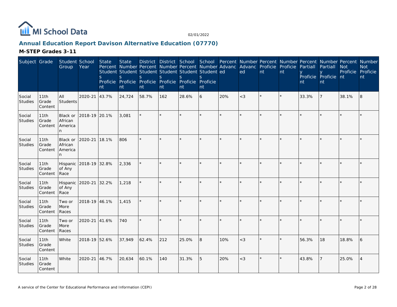

# **Annual Education Report Davison Alternative Education (07770)**

**M-STEP Grades 3-11**

| Subject Grade            |                          | Student School<br>Group              | Year          | State<br><sub>S</sub><br>nt | <b>State</b><br>S.<br>nt | Percent Number Percent Number Percent Number Advanc<br>Student Student Student Student Student Student ed<br>S.<br>Proficie Proficie Proficie Proficie Proficie Proficie<br>nt | <sub>S</sub><br>nt | S.<br>nt | $\mathcal{S}_{\mathcal{S}}$<br>nt |                         | District District School School Percent Number Percent Number Percent Number Percent Number<br>Advanc Proficie Proficie<br>ed | nt | nt      | Partiall<br>nt | Partiall<br>y y Proficie Proficie nt<br>nt | <b>Not</b><br>Proficie Proficie | <b>Not</b><br>nt |
|--------------------------|--------------------------|--------------------------------------|---------------|-----------------------------|--------------------------|--------------------------------------------------------------------------------------------------------------------------------------------------------------------------------|--------------------|----------|-----------------------------------|-------------------------|-------------------------------------------------------------------------------------------------------------------------------|----|---------|----------------|--------------------------------------------|---------------------------------|------------------|
| Social<br>Studies        | 11th<br>Grade<br>Content | All<br>Students                      | 2020-21       | 43.7%                       | 24,724                   | 58.7%                                                                                                                                                                          | 162                | 28.6%    | 6                                 | 20%                     | $<$ 3                                                                                                                         |    | $\star$ | 33.3%          |                                            | 38.1%                           | 8                |
| Social<br>Studies        | 11th<br>Grade<br>Content | Black or<br>African<br>America<br>n. | 2018-19 20.1% |                             | 3,081                    |                                                                                                                                                                                | $\star$            |          | $\star$                           | $\star$                 | $\star$                                                                                                                       |    |         |                |                                            |                                 |                  |
| Social<br>Studies        | 11th<br>Grade<br>Content | Black or<br>African<br>America<br>n. | 2020-21       | 18.1%                       | 806                      | $\star$                                                                                                                                                                        | $\star$            |          | $\star$                           |                         | ×                                                                                                                             |    |         |                |                                            |                                 |                  |
| Social<br>Studies        | 11th<br>Grade<br>Content | Hispanic<br>of Any<br>Race           | 2018-19 32.8% |                             | 2,336                    |                                                                                                                                                                                |                    |          | ×.                                |                         |                                                                                                                               |    |         |                |                                            |                                 |                  |
| Social<br>Studies        | 11th<br>Grade<br>Content | Hispanic<br>of Any<br>Race           | 2020-21       | 32.2%                       | 1,218                    |                                                                                                                                                                                |                    |          | ×.                                |                         |                                                                                                                               |    |         |                |                                            |                                 |                  |
| Social<br><b>Studies</b> | 11th<br>Grade<br>Content | Two or<br>More<br>Races              | 2018-19 46.1% |                             | 1,415                    |                                                                                                                                                                                | $\star$            |          | $\star$                           |                         | $\star$                                                                                                                       |    |         |                |                                            |                                 |                  |
| Social<br>Studies        | 11th<br>Grade<br>Content | Two or<br>More<br>Races              | 2020-21       | 41.6%                       | 740                      | $\star$                                                                                                                                                                        | ×.                 |          | $\star$                           | $\mathbf{d} \mathbf{r}$ | $\star$                                                                                                                       |    |         |                |                                            |                                 |                  |
| Social<br>Studies        | 11th<br>Grade<br>Content | White                                | 2018-19 52.6% |                             | 37,949                   | 62.4%                                                                                                                                                                          | 212                | 25.0%    | 8                                 | 10%                     | $<$ 3                                                                                                                         |    |         | 56.3%          | 18                                         | 18.8%                           | 6                |
| Social<br><b>Studies</b> | 11th<br>Grade<br>Content | White                                | 2020-21       | 46.7%                       | 20,634                   | 60.1%                                                                                                                                                                          | 140                | 31.3%    | 5                                 | 20%                     | $<$ 3                                                                                                                         |    |         | 43.8%          |                                            | 25.0%                           | $\overline{4}$   |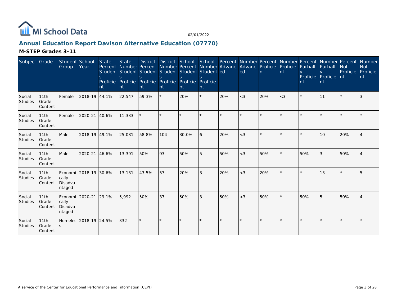

# **Annual Education Report Davison Alternative Education (07770)**

**M-STEP Grades 3-11**

| Subject Grade     |                          | Student School<br>Group                         | Year                  | <b>State</b><br><sub>S</sub><br><b>nt</b> | <b>State</b><br><sub>S</sub><br>nt | <b>District</b><br>Percent Number Percent Number Percent Number Advanc<br>Student Student Student Student Student Student ed<br>S<br>Proficie Proficie Proficie Proficie Proficie Proficie<br>nt | District School<br>S<br>nt | nt    | nt         |     | School Percent Number Percent Number Percent Number Percent Number<br>Advanc Proficie<br>ed | nt  | Proficie<br>nt | Partiall<br>Proficie Proficie<br>nt | Partiall<br><b>nt</b> | <b>Not</b><br>Proficie<br><b>nt</b> | <b>Not</b><br>Proficie<br>nt |
|-------------------|--------------------------|-------------------------------------------------|-----------------------|-------------------------------------------|------------------------------------|--------------------------------------------------------------------------------------------------------------------------------------------------------------------------------------------------|----------------------------|-------|------------|-----|---------------------------------------------------------------------------------------------|-----|----------------|-------------------------------------|-----------------------|-------------------------------------|------------------------------|
| Social<br>Studies | 11th<br>Grade<br>Content | Female                                          | 2018-19 44.1%         |                                           | 22,547                             | 59.3%                                                                                                                                                                                            | $\star$                    | 20%   | $^{\star}$ | 20% | $<$ 3                                                                                       | 20% | $<$ 3          |                                     | 11                    |                                     | 3                            |
| Social<br>Studies | 11th<br>Grade<br>Content | Female                                          | 2020-21               | 40.6%                                     | 11,333                             |                                                                                                                                                                                                  |                            |       |            |     |                                                                                             |     |                |                                     |                       |                                     |                              |
| Social<br>Studies | 11th<br>Grade<br>Content | Male                                            | 2018-19 49.1%         |                                           | 25,081                             | 58.8%                                                                                                                                                                                            | 104                        | 30.0% | 6          | 20% | $<$ 3                                                                                       |     |                |                                     | 10 <sup>1</sup>       | 20%                                 |                              |
| Social<br>Studies | 11th<br>Grade<br>Content | Male                                            | 2020-21               | 46.6%                                     | 13,391                             | 50%                                                                                                                                                                                              | 93                         | 50%   | 5          | 50% | $<$ 3                                                                                       | 50% |                | 50%                                 | 3                     | 50%                                 | $\Delta$                     |
| Social<br>Studies | 11th<br>Grade<br>Content | cally<br>Disadva<br>ntaged                      | Economi 2018-19 30.6% |                                           | 13,131                             | 43.5%                                                                                                                                                                                            | 57                         | 20%   | 3          | 20% | $<$ 3                                                                                       | 20% |                |                                     | 13                    |                                     | 5                            |
| Social<br>Studies | 11th<br>Grade<br>Content | Economi   2020-21<br>cally<br>Disadva<br>ntaged |                       | 29.1%                                     | 5,992                              | 50%                                                                                                                                                                                              | 37                         | 50%   | 3          | 50% | $<$ 3                                                                                       | 50% | $\star$        | 50%                                 | 5                     | 50%                                 |                              |
| Social<br>Studies | 11th<br>Grade<br>Content | <sub>S</sub>                                    | Homeles 2018-19 24.5% |                                           | 332                                |                                                                                                                                                                                                  |                            |       |            |     |                                                                                             |     |                |                                     |                       |                                     |                              |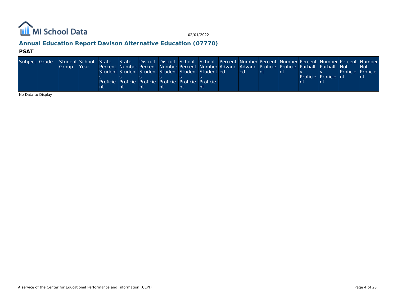

# **Annual Education Report Davison Alternative Education (07770)**

#### **PSAT**

| Subject Grade Student School State State District District School School Percent Number Percent Number Percent Number Percent Number Number |       |      |    |                                                                                                    |    |    |    |     |     |    |                      |                   |
|---------------------------------------------------------------------------------------------------------------------------------------------|-------|------|----|----------------------------------------------------------------------------------------------------|----|----|----|-----|-----|----|----------------------|-------------------|
|                                                                                                                                             | Group | Year |    | Percent Number Percent Number Percent Number Advanc Advanc Proficie Proficie Partiall Partiall Not |    |    |    |     |     |    |                      | -Not              |
|                                                                                                                                             |       |      |    | Student Student Student Student Student Student ed                                                 |    |    |    | ed. | ∣nt | nt |                      | Proficie Proficie |
|                                                                                                                                             |       |      |    |                                                                                                    |    |    |    |     |     |    | Proficie Proficie nt | nt                |
|                                                                                                                                             |       |      |    | Proficie Proficie Proficie Proficie Proficie Proficie I                                            |    |    |    |     |     |    |                      |                   |
|                                                                                                                                             |       |      | nt | nt                                                                                                 | nt | nt | nt |     |     |    |                      |                   |

No Data to Display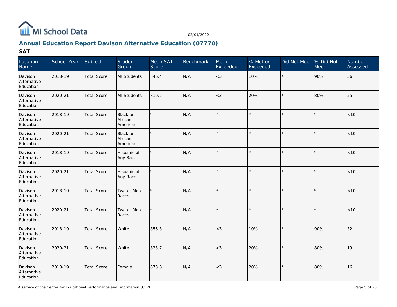

# **Annual Education Report Davison Alternative Education (07770)**

| Location<br>Name                    | School Year | Subject            | Student<br>Group                | Mean SAT<br>Score | <b>Benchmark</b> | Met or<br>Exceeded | % Met or<br>Exceeded | Did Not Meet % Did Not | Meet    | Number<br>Assessed |
|-------------------------------------|-------------|--------------------|---------------------------------|-------------------|------------------|--------------------|----------------------|------------------------|---------|--------------------|
| Davison<br>Alternative<br>Education | 2018-19     | <b>Total Score</b> | All Students                    | 846.4             | N/A              | $<$ 3              | 10%                  | $\star$                | 90%     | 36                 |
| Davison<br>Alternative<br>Education | 2020-21     | <b>Total Score</b> | <b>All Students</b>             | 819.2             | N/A              | $<$ 3              | 20%                  |                        | 80%     | 25                 |
| Davison<br>Alternative<br>Education | 2018-19     | <b>Total Score</b> | Black or<br>African<br>American | $\star$           | N/A              |                    |                      |                        |         | $<10$              |
| Davison<br>Alternative<br>Education | 2020-21     | <b>Total Score</b> | Black or<br>African<br>American | $\star$           | N/A              |                    | $\star$              |                        | $\star$ | $<10$              |
| Davison<br>Alternative<br>Education | 2018-19     | <b>Total Score</b> | Hispanic of<br>Any Race         | $\star$           | N/A              | $\star$            |                      | ÷.                     | $\star$ | < 10               |
| Davison<br>Alternative<br>Education | 2020-21     | <b>Total Score</b> | Hispanic of<br>Any Race         | $\star$           | N/A              | $\star$            | $\star$              |                        | $\star$ | <10                |
| Davison<br>Alternative<br>Education | 2018-19     | <b>Total Score</b> | Two or More<br>Races            |                   | N/A              |                    |                      |                        |         | $<10$              |
| Davison<br>Alternative<br>Education | 2020-21     | <b>Total Score</b> | Two or More<br>Races            |                   | N/A              |                    |                      |                        |         | $<10$              |
| Davison<br>Alternative<br>Education | 2018-19     | <b>Total Score</b> | White                           | 856.3             | N/A              | $<$ 3              | 10%                  |                        | 90%     | 32                 |
| Davison<br>Alternative<br>Education | 2020-21     | <b>Total Score</b> | White                           | 823.7             | N/A              | $<$ 3              | 20%                  |                        | 80%     | 19                 |
| Davison<br>Alternative<br>Education | 2018-19     | <b>Total Score</b> | Female                          | 878.8             | N/A              | $<$ 3              | 20%                  |                        | 80%     | 16                 |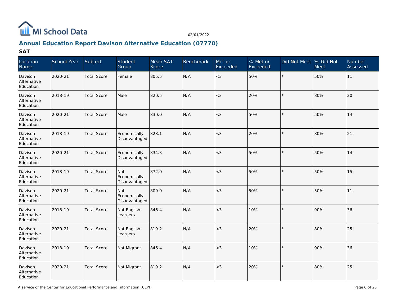

# **Annual Education Report Davison Alternative Education (07770)**

| Location<br>Name                    | School Year | Subject            | Student<br>Group                     | Mean SAT<br>Score | <b>Benchmark</b> | Met or<br>Exceeded | % Met or<br>Exceeded | Did Not Meet % Did Not | <b>Meet</b> | Number<br>Assessed |
|-------------------------------------|-------------|--------------------|--------------------------------------|-------------------|------------------|--------------------|----------------------|------------------------|-------------|--------------------|
| Davison<br>Alternative<br>Education | 2020-21     | <b>Total Score</b> | Female                               | 805.5             | N/A              | $<$ 3              | 50%                  | $\star$                | 50%         | 11                 |
| Davison<br>Alternative<br>Education | 2018-19     | <b>Total Score</b> | Male                                 | 820.5             | N/A              | $<$ 3              | 20%                  |                        | 80%         | 20                 |
| Davison<br>Alternative<br>Education | 2020-21     | <b>Total Score</b> | Male                                 | 830.0             | N/A              | $<$ 3              | 50%                  |                        | 50%         | 14                 |
| Davison<br>Alternative<br>Education | 2018-19     | <b>Total Score</b> | Economically<br>Disadvantaged        | 828.1             | N/A              | $<$ 3              | 20%                  |                        | 80%         | 21                 |
| Davison<br>Alternative<br>Education | 2020-21     | <b>Total Score</b> | Economically<br>Disadvantaged        | 834.3             | N/A              | $<$ 3              | 50%                  |                        | 50%         | 14                 |
| Davison<br>Alternative<br>Education | 2018-19     | <b>Total Score</b> | Not<br>Economically<br>Disadvantaged | 872.0             | N/A              | $<$ 3              | 50%                  |                        | 50%         | 15                 |
| Davison<br>Alternative<br>Education | 2020-21     | <b>Total Score</b> | Not<br>Economically<br>Disadvantaged | 800.0             | N/A              | $<$ 3              | 50%                  |                        | 50%         | 11                 |
| Davison<br>Alternative<br>Education | 2018-19     | <b>Total Score</b> | Not English<br>Learners              | 846.4             | N/A              | $<$ 3              | 10%                  |                        | 90%         | 36                 |
| Davison<br>Alternative<br>Education | 2020-21     | <b>Total Score</b> | Not English<br>Learners              | 819.2             | N/A              | $<$ 3              | 20%                  |                        | 80%         | 25                 |
| Davison<br>Alternative<br>Education | 2018-19     | <b>Total Score</b> | Not Migrant                          | 846.4             | N/A              | $<$ 3              | 10%                  |                        | 90%         | 36                 |
| Davison<br>Alternative<br>Education | 2020-21     | <b>Total Score</b> | Not Migrant                          | 819.2             | N/A              | $<$ 3              | 20%                  |                        | 80%         | 25                 |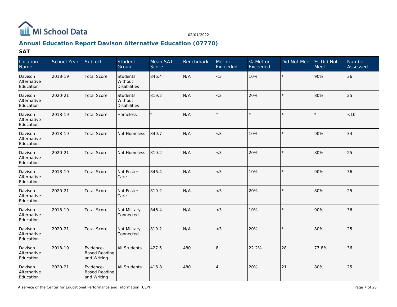

# **Annual Education Report Davison Alternative Education (07770)**

| Location<br>Name                    | School Year | Subject                                          | Student<br>Group                           | Mean SAT<br>Score | <b>Benchmark</b> | Met or<br>Exceeded | % Met or<br>Exceeded | Did Not Meet % Did Not | <b>Meet</b> | Number<br>Assessed |
|-------------------------------------|-------------|--------------------------------------------------|--------------------------------------------|-------------------|------------------|--------------------|----------------------|------------------------|-------------|--------------------|
| Davison<br>Alternative<br>Education | 2018-19     | <b>Total Score</b>                               | Students<br>Without<br>Disabilities        | 846.4             | N/A              | $<$ 3              | 10%                  | $\star$                | 90%         | 36                 |
| Davison<br>Alternative<br>Education | 2020-21     | <b>Total Score</b>                               | Students<br>Without<br><b>Disabilities</b> | 819.2             | N/A              | $<$ 3              | 20%                  |                        | 80%         | $ 25\rangle$       |
| Davison<br>Alternative<br>Education | 2018-19     | <b>Total Score</b>                               | Homeless                                   |                   | N/A              | $\star$            | $\star$              |                        |             | < 10               |
| Davison<br>Alternative<br>Education | 2018-19     | <b>Total Score</b>                               | Not Homeless                               | 849.7             | N/A              | $<$ 3              | 10%                  | $\star$                | 90%         | 34                 |
| Davison<br>Alternative<br>Education | 2020-21     | <b>Total Score</b>                               | Not Homeless                               | 819.2             | N/A              | $<$ 3              | 20%                  |                        | 80%         | 25                 |
| Davison<br>Alternative<br>Education | 2018-19     | <b>Total Score</b>                               | Not Foster<br>Care                         | 846.4             | N/A              | $<$ 3              | 10%                  | $\star$                | 90%         | 36                 |
| Davison<br>Alternative<br>Education | 2020-21     | <b>Total Score</b>                               | Not Foster<br>Care                         | 819.2             | N/A              | $<$ 3              | 20%                  | $\star$                | 80%         | $ 25\rangle$       |
| Davison<br>Alternative<br>Education | 2018-19     | <b>Total Score</b>                               | Not Military<br>Connected                  | 846.4             | N/A              | $<$ 3              | 10%                  |                        | 90%         | 36                 |
| Davison<br>Alternative<br>Education | 2020-21     | <b>Total Score</b>                               | Not Military<br>Connected                  | 819.2             | N/A              | $<$ 3              | 20%                  | $\star$                | 80%         | 25                 |
| Davison<br>Alternative<br>Education | 2018-19     | Evidence-<br><b>Based Reading</b><br>and Writing | <b>All Students</b>                        | 427.5             | 480              | 8                  | 22.2%                | 28                     | 77.8%       | 36                 |
| Davison<br>Alternative<br>Education | 2020-21     | Evidence-<br><b>Based Reading</b><br>and Writing | <b>All Students</b>                        | 416.8             | 480              | $\overline{4}$     | 20%                  | 21                     | 80%         | $ 25\rangle$       |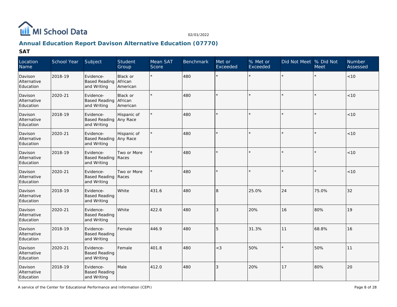

# **Annual Education Report Davison Alternative Education (07770)**

| Location<br>Name                    | School Year | Subject                                            | Student<br>Group                | Mean SAT<br>Score | <b>Benchmark</b> | Met or<br>Exceeded | % Met or<br>Exceeded | Did Not Meet  % Did Not | Meet  | Number<br>Assessed |
|-------------------------------------|-------------|----------------------------------------------------|---------------------------------|-------------------|------------------|--------------------|----------------------|-------------------------|-------|--------------------|
| Davison<br>Alternative<br>Education | 2018-19     | Evidence-<br><b>Based Reading</b><br>and Writing   | Black or<br>African<br>American |                   | 480              | $\star$            |                      |                         |       | < 10               |
| Davison<br>Alternative<br>Education | 2020-21     | Evidence-<br><b>Based Reading</b><br>and Writing   | Black or<br>African<br>American |                   | 480              |                    |                      |                         |       | < 10               |
| Davison<br>Alternative<br>Education | 2018-19     | Evidence-<br>Based Reading Any Race<br>and Writing | Hispanic of                     |                   | 480              |                    |                      |                         |       | < 10               |
| Davison<br>Alternative<br>Education | 2020-21     | Evidence-<br>Based Reading Any Race<br>and Writing | Hispanic of                     | $\star$           | 480              | ÷                  | $\star$              |                         |       | < 10               |
| Davison<br>Alternative<br>Education | 2018-19     | Evidence-<br>Based Reading Races<br>and Writing    | Two or More                     |                   | 480              | $\star$            |                      |                         |       | < 10               |
| Davison<br>Alternative<br>Education | 2020-21     | Evidence-<br>Based Reading Races<br>and Writing    | Two or More                     |                   | 480              |                    |                      |                         |       | < 10               |
| Davison<br>Alternative<br>Education | 2018-19     | Evidence-<br><b>Based Reading</b><br>and Writing   | White                           | 431.6             | 480              | 8                  | 25.0%                | 24                      | 75.0% | 32                 |
| Davison<br>Alternative<br>Education | 2020-21     | Evidence-<br><b>Based Reading</b><br>and Writing   | White                           | 422.6             | 480              | 3                  | 20%                  | 16                      | 80%   | 19                 |
| Davison<br>Alternative<br>Education | 2018-19     | Evidence-<br><b>Based Reading</b><br>and Writing   | Female                          | 446.9             | 480              | 5                  | 31.3%                | 11                      | 68.8% | 16                 |
| Davison<br>Alternative<br>Education | 2020-21     | Evidence-<br><b>Based Reading</b><br>and Writing   | Female                          | 401.8             | 480              | $<$ 3              | 50%                  |                         | 50%   | 11                 |
| Davison<br>Alternative<br>Education | 2018-19     | Evidence-<br><b>Based Reading</b><br>and Writing   | Male                            | 412.0             | 480              | 3                  | 20%                  | 17                      | 80%   | 20                 |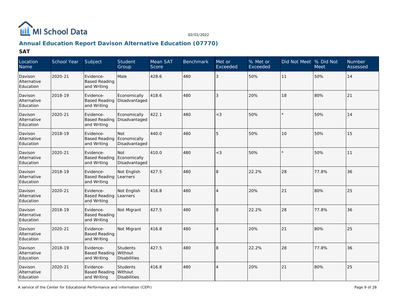

# **Annual Education Report Davison Alternative Education (07770)**

| Location<br>Name                    | School Year | Subject                                          | Student<br>Group                           | Mean SAT<br>Score | <b>Benchmark</b> | Met or<br>Exceeded | % Met or<br>Exceeded | Did Not Meet  % Did Not | <b>Meet</b> | Number<br>Assessed |
|-------------------------------------|-------------|--------------------------------------------------|--------------------------------------------|-------------------|------------------|--------------------|----------------------|-------------------------|-------------|--------------------|
| Davison<br>Alternative<br>Education | 2020-21     | Evidence-<br><b>Based Reading</b><br>and Writing | Male                                       | 428.6             | 480              | 3                  | 50%                  | 11                      | 50%         | 14                 |
| Davison<br>Alternative<br>Education | 2018-19     | Evidence-<br><b>Based Reading</b><br>and Writing | Economically<br>Disadvantaged              | 418.6             | 480              | 3                  | 20%                  | 18                      | 80%         | 21                 |
| Davison<br>Alternative<br>Education | 2020-21     | Evidence-<br><b>Based Reading</b><br>and Writing | Economically<br>Disadvantaged              | 422.1             | 480              | $<$ 3              | 50%                  |                         | 50%         | 14                 |
| Davison<br>Alternative<br>Education | 2018-19     | Evidence-<br><b>Based Reading</b><br>and Writing | Not<br>Economically<br>Disadvantaged       | 440.0             | 480              | 5                  | 50%                  | 10                      | 50%         | 15                 |
| Davison<br>Alternative<br>Education | 2020-21     | Evidence-<br><b>Based Reading</b><br>and Writing | Not<br>Economically<br>Disadvantaged       | 410.0             | 480              | $<$ 3              | 50%                  |                         | 50%         | 11                 |
| Davison<br>Alternative<br>Education | 2018-19     | Evidence-<br><b>Based Reading</b><br>and Writing | Not English<br>Learners                    | 427.5             | 480              | 8                  | 22.2%                | 28                      | 77.8%       | 36                 |
| Davison<br>Alternative<br>Education | 2020-21     | Evidence-<br><b>Based Reading</b><br>and Writing | Not English<br>Learners                    | 416.8             | 480              | $\overline{4}$     | 20%                  | 21                      | 80%         | 25                 |
| Davison<br>Alternative<br>Education | 2018-19     | Evidence-<br><b>Based Reading</b><br>and Writing | Not Migrant                                | 427.5             | 480              | 8                  | 22.2%                | 28                      | 77.8%       | 36                 |
| Davison<br>Alternative<br>Education | 2020-21     | Evidence-<br><b>Based Reading</b><br>and Writing | Not Migrant                                | 416.8             | 480              | $\overline{4}$     | 20%                  | 21                      | 80%         | 25                 |
| Davison<br>Alternative<br>Education | 2018-19     | Evidence-<br><b>Based Reading</b><br>and Writing | Students<br>Without<br><b>Disabilities</b> | 427.5             | 480              | 8                  | 22.2%                | 28                      | 77.8%       | 36                 |
| Davison<br>Alternative<br>Education | 2020-21     | Evidence-<br><b>Based Reading</b><br>and Writing | Students<br>Without<br><b>Disabilities</b> | 416.8             | 480              | $\overline{4}$     | 20%                  | 21                      | 80%         | 25                 |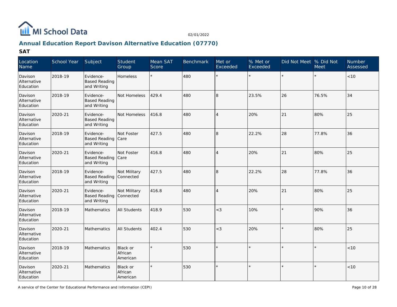

# **Annual Education Report Davison Alternative Education (07770)**

| Location<br>Name                    | School Year | Subject                                          | Student<br>Group                | Mean SAT<br>Score | <b>Benchmark</b> | Met or<br>Exceeded | $%$ Met or<br>Exceeded | Did Not Meet % Did Not | Meet    | Number<br>Assessed |
|-------------------------------------|-------------|--------------------------------------------------|---------------------------------|-------------------|------------------|--------------------|------------------------|------------------------|---------|--------------------|
| Davison<br>Alternative<br>Education | 2018-19     | Evidence-<br><b>Based Reading</b><br>and Writing | <b>Homeless</b>                 |                   | 480              |                    | ÷.                     | $\star$                |         | <10                |
| Davison<br>Alternative<br>Education | 2018-19     | Evidence-<br><b>Based Reading</b><br>and Writing | Not Homeless                    | 429.4             | 480              | 8                  | 23.5%                  | 26                     | 76.5%   | 34                 |
| Davison<br>Alternative<br>Education | 2020-21     | Evidence-<br><b>Based Reading</b><br>and Writing | Not Homeless                    | 416.8             | 480              | $\overline{4}$     | 20%                    | 21                     | 80%     | 25                 |
| Davison<br>Alternative<br>Education | 2018-19     | Evidence-<br><b>Based Reading</b><br>and Writing | Not Foster<br>Care              | 427.5             | 480              | 8                  | 22.2%                  | 28                     | 77.8%   | 36                 |
| Davison<br>Alternative<br>Education | 2020-21     | Evidence-<br><b>Based Reading</b><br>and Writing | Not Foster<br>Care              | 416.8             | 480              | $\overline{4}$     | 20%                    | 21                     | 80%     | 25                 |
| Davison<br>Alternative<br>Education | 2018-19     | Evidence-<br><b>Based Reading</b><br>and Writing | Not Military<br>Connected       | 427.5             | 480              | 8                  | 22.2%                  | 28                     | 77.8%   | 36                 |
| Davison<br>Alternative<br>Education | 2020-21     | Evidence-<br><b>Based Reading</b><br>and Writing | Not Military<br>Connected       | 416.8             | 480              | $\overline{4}$     | 20%                    | 21                     | 80%     | 25                 |
| Davison<br>Alternative<br>Education | 2018-19     | Mathematics                                      | All Students                    | 418.9             | 530              | $<$ 3              | 10%                    | $\star$                | 90%     | 36                 |
| Davison<br>Alternative<br>Education | 2020-21     | Mathematics                                      | <b>All Students</b>             | 402.4             | 530              | $<$ 3              | 20%                    | $\star$                | 80%     | 25                 |
| Davison<br>Alternative<br>Education | 2018-19     | Mathematics                                      | Black or<br>African<br>American |                   | 530              | $\star$            |                        | $\star$                | $\star$ | < 10               |
| Davison<br>Alternative<br>Education | 2020-21     | Mathematics                                      | Black or<br>African<br>American |                   | 530              |                    |                        | $\star$                |         | <10                |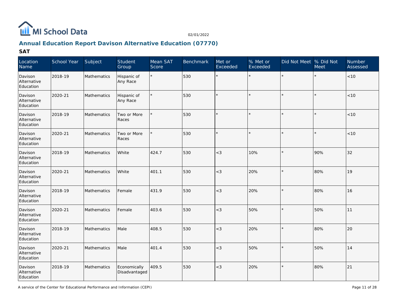

# **Annual Education Report Davison Alternative Education (07770)**

| Location<br>Name                    | School Year | Subject            | Student<br>Group              | Mean SAT<br>Score | <b>Benchmark</b> | Met or<br>Exceeded | % Met or<br>Exceeded | Did Not Meet % Did Not | Meet | Number<br>Assessed |
|-------------------------------------|-------------|--------------------|-------------------------------|-------------------|------------------|--------------------|----------------------|------------------------|------|--------------------|
| Davison<br>Alternative<br>Education | 2018-19     | Mathematics        | Hispanic of<br>Any Race       | $\star$           | 530              | $\star$            |                      |                        |      | < 10               |
| Davison<br>Alternative<br>Education | 2020-21     | Mathematics        | Hispanic of<br>Any Race       |                   | 530              |                    | $\star$              |                        |      | $<10$              |
| Davison<br>Alternative<br>Education | 2018-19     | Mathematics        | Two or More<br>Races          |                   | 530              | $\star$            | $\star$              |                        |      | $<10$              |
| Davison<br>Alternative<br>Education | 2020-21     | Mathematics        | Two or More<br>Races          |                   | 530              | $\star$            | $\star$              |                        |      | $<10$              |
| Davison<br>Alternative<br>Education | 2018-19     | Mathematics        | White                         | 424.7             | 530              | $<$ 3              | 10%                  |                        | 90%  | 32                 |
| Davison<br>Alternative<br>Education | 2020-21     | <b>Mathematics</b> | White                         | 401.1             | 530              | $<$ 3              | 20%                  |                        | 80%  | 19                 |
| Davison<br>Alternative<br>Education | 2018-19     | Mathematics        | Female                        | 431.9             | 530              | $<$ 3              | 20%                  |                        | 80%  | 16                 |
| Davison<br>Alternative<br>Education | 2020-21     | Mathematics        | Female                        | 403.6             | 530              | $<$ 3              | 50%                  |                        | 50%  | 11                 |
| Davison<br>Alternative<br>Education | 2018-19     | Mathematics        | Male                          | 408.5             | 530              | $<$ 3              | 20%                  |                        | 80%  | 20                 |
| Davison<br>Alternative<br>Education | 2020-21     | Mathematics        | Male                          | 401.4             | 530              | $<$ 3              | 50%                  | $\star$                | 50%  | 14                 |
| Davison<br>Alternative<br>Education | 2018-19     | Mathematics        | Economically<br>Disadvantaged | 409.5             | 530              | $<$ 3              | 20%                  |                        | 80%  | 21                 |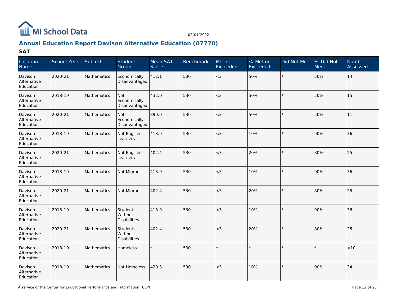

# **Annual Education Report Davison Alternative Education (07770)**

| Location<br>Name                    | School Year | Subject            | Student<br>Group                     | Mean SAT<br>Score | <b>Benchmark</b> | Met or<br>Exceeded | % Met or<br>Exceeded | Did Not Meet % Did Not | Meet | Number<br>Assessed |
|-------------------------------------|-------------|--------------------|--------------------------------------|-------------------|------------------|--------------------|----------------------|------------------------|------|--------------------|
| Davison<br>Alternative<br>Education | 2020-21     | Mathematics        | Economically<br>Disadvantaged        | 412.1             | 530              | $<$ 3              | 50%                  |                        | 50%  | 14                 |
| Davison<br>Alternative<br>Education | 2018-19     | Mathematics        | Not<br>Economically<br>Disadvantaged | 432.0             | 530              | $<$ 3              | 50%                  |                        | 50%  | 15                 |
| Davison<br>Alternative<br>Education | 2020-21     | Mathematics        | Not<br>Economically<br>Disadvantaged | 390.0             | 530              | $<$ 3              | 50%                  |                        | 50%  | 11                 |
| Davison<br>Alternative<br>Education | 2018-19     | Mathematics        | Not English<br>Learners              | 418.9             | 530              | $<$ 3              | 10%                  |                        | 90%  | 36                 |
| Davison<br>Alternative<br>Education | 2020-21     | Mathematics        | Not English<br>Learners              | 402.4             | 530              | $<$ 3              | 20%                  |                        | 80%  | 25                 |
| Davison<br>Alternative<br>Education | 2018-19     | Mathematics        | Not Migrant                          | 418.9             | 530              | $<$ 3              | 10%                  |                        | 90%  | 36                 |
| Davison<br>Alternative<br>Education | 2020-21     | Mathematics        | Not Migrant                          | 402.4             | 530              | $<$ 3              | 20%                  |                        | 80%  | 25                 |
| Davison<br>Alternative<br>Education | 2018-19     | <b>Mathematics</b> | Students<br>Without<br>Disabilities  | 418.9             | 530              | $<$ 3              | 10%                  |                        | 90%  | 36                 |
| Davison<br>Alternative<br>Education | 2020-21     | <b>Mathematics</b> | Students<br>Without<br>Disabilities  | 402.4             | 530              | $<$ 3              | 20%                  |                        | 80%  | 25                 |
| Davison<br>Alternative<br>Education | 2018-19     | Mathematics        | <b>Homeless</b>                      |                   | 530              | $\star$            |                      |                        |      | < 10               |
| Davison<br>Alternative<br>Education | 2018-19     | Mathematics        | Not Homeless                         | 420.3             | 530              | $<$ 3              | 10%                  |                        | 90%  | 34                 |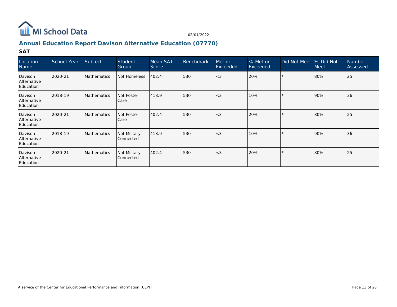

# **Annual Education Report Davison Alternative Education (07770)**

| Location<br>Name                    | School Year | Subject            | Student<br>Group                 | Mean SAT<br>Score | <b>Benchmark</b> | Met or<br>Exceeded | % Met or<br>Exceeded | Did Not Meet  % Did Not | <b>Meet</b> | <b>Number</b><br>Assessed |
|-------------------------------------|-------------|--------------------|----------------------------------|-------------------|------------------|--------------------|----------------------|-------------------------|-------------|---------------------------|
| Davison<br>Alternative<br>Education | 2020-21     | <b>Mathematics</b> | Not Homeless                     | 402.4             | 530              | $<$ 3              | 20%                  |                         | 80%         | 25                        |
| Davison<br>Alternative<br>Education | 2018-19     | <b>Mathematics</b> | Not Foster<br>Care               | 418.9             | 530              | $<$ 3              | 10%                  |                         | 90%         | 36                        |
| Davison<br>Alternative<br>Education | 2020-21     | <b>Mathematics</b> | Not Foster<br>Care               | 402.4             | 530              | $<$ 3              | 20%                  |                         | 80%         | 25                        |
| Davison<br>Alternative<br>Education | 2018-19     | Mathematics        | Not Military<br> Connected       | 418.9             | 530              | $<$ 3              | 10%                  |                         | 90%         | 36                        |
| Davison<br>Alternative<br>Education | 2020-21     | <b>Mathematics</b> | Not Military<br><b>Connected</b> | 402.4             | 530              | $<$ 3              | 20%                  |                         | 80%         | 25                        |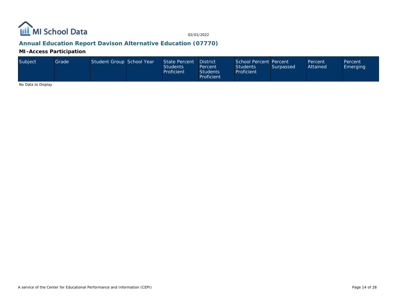

# **Annual Education Report Davison Alternative Education (07770)**

**MI-Access Participation**

| Subiect | Grade I | Student Group School Year |  | State Percent<br><b>Students</b><br>Proficient | <b>District</b><br>Percent<br><b>Students</b><br>Proficient | School Percent Percent<br><b>Students</b><br>Proficient | Surpassed | Percent<br>Attained | Percent<br>Emerging |
|---------|---------|---------------------------|--|------------------------------------------------|-------------------------------------------------------------|---------------------------------------------------------|-----------|---------------------|---------------------|
|---------|---------|---------------------------|--|------------------------------------------------|-------------------------------------------------------------|---------------------------------------------------------|-----------|---------------------|---------------------|

No Data to Display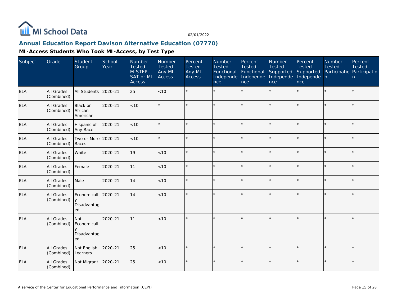

# **Annual Education Report Davison Alternative Education (07770)**

| Subject    | Grade                    | Student<br>Group                        | School<br>Year | Number<br>Tested -<br>M-STEP,<br>SAT or MI-<br><b>Access</b> | Number<br>Tested -<br>Any MI-<br>Access | Percent<br>Tested -<br>Any MI-<br><b>Access</b> | Number<br>Tested -<br>Functional<br>Independe<br>nce | Percent<br>Tested -<br>Functional<br>Independe<br>nce | Number<br>Tested -<br>Supported<br>Independe<br>nce | Percent<br>Tested -<br>Supported<br>Independe n<br>nce | Number<br>Tested -<br>Participatio Participatio | Percent<br>Tested -<br>n |
|------------|--------------------------|-----------------------------------------|----------------|--------------------------------------------------------------|-----------------------------------------|-------------------------------------------------|------------------------------------------------------|-------------------------------------------------------|-----------------------------------------------------|--------------------------------------------------------|-------------------------------------------------|--------------------------|
| ELA        | All Grades<br>(Combined) | All Students                            | 2020-21        | 25                                                           | < 10                                    |                                                 |                                                      | $\star$                                               |                                                     | ×.                                                     | $\star$                                         | $\star$                  |
| <b>ELA</b> | All Grades<br>(Combined) | Black or<br>African<br>American         | 2020-21        | < 10                                                         |                                         |                                                 |                                                      |                                                       | ÷                                                   | $\star$                                                |                                                 | $\star$                  |
| <b>ELA</b> | All Grades<br>(Combined) | Hispanic of<br>Any Race                 | 2020-21        | < 10                                                         |                                         |                                                 |                                                      |                                                       |                                                     |                                                        |                                                 | $\star$                  |
| <b>ELA</b> | All Grades<br>(Combined) | Two or More<br>Races                    | 2020-21        | < 10                                                         |                                         |                                                 |                                                      | $\star$                                               | ÷                                                   |                                                        | $\star$                                         | $\star$                  |
| ELA        | All Grades<br>(Combined) | White                                   | 2020-21        | 19                                                           | <10                                     | $\star$                                         |                                                      | $\star$                                               | ÷                                                   | $\star$                                                | $\star$                                         | $\star$                  |
| <b>ELA</b> | All Grades<br>(Combined) | Female                                  | 2020-21        | 11                                                           | < 10                                    |                                                 |                                                      |                                                       | ÷                                                   | ×.                                                     |                                                 | $\star$                  |
| <b>ELA</b> | All Grades<br>(Combined) | Male                                    | 2020-21        | 14                                                           | < 10                                    |                                                 |                                                      |                                                       |                                                     |                                                        |                                                 | $\star$                  |
| <b>ELA</b> | All Grades<br>(Combined) | Economicall<br>y<br>Disadvantag<br>ed   | 2020-21        | 14                                                           | < 10                                    | $\star$                                         |                                                      |                                                       |                                                     |                                                        |                                                 | $\star$                  |
| <b>ELA</b> | All Grades<br>(Combined) | Not<br>Economicall<br>Disadvantag<br>ed | 2020-21        | 11                                                           | < 10                                    |                                                 |                                                      |                                                       |                                                     |                                                        |                                                 | $\star$                  |
| <b>ELA</b> | All Grades<br>(Combined) | Not English<br>Learners                 | 2020-21        | 25                                                           | $<10$                                   |                                                 |                                                      |                                                       |                                                     | ×.                                                     |                                                 | $\star$                  |
| <b>ELA</b> | All Grades<br>(Combined) | Not Migrant                             | 2020-21        | 25                                                           | $<10$                                   | $\star$                                         |                                                      | $\star$                                               |                                                     |                                                        |                                                 | $\star$                  |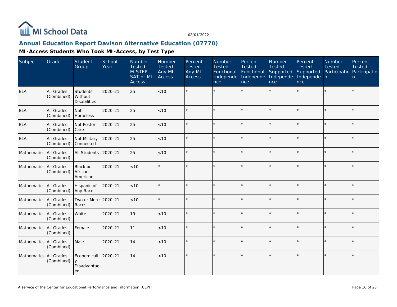

#### **Annual Education Report Davison Alternative Education (07770)**

| Subject                  | Grade                    | Student<br>Group                           | School<br>Year | Number<br>Tested -<br>M-STEP,<br>SAT or MI-<br><b>Access</b> | Number<br>Tested -<br>Any MI-<br>Access | Percent<br>Tested -<br>Any MI-<br>Access | Number<br>Tested -<br>Functional<br>Independe<br>nce | Percent<br>Tested -<br>Functional<br>Independe<br>nce | Number<br>Tested -<br>Supported<br>Independe<br>nce | Percent<br>Tested -<br>Supported<br>Independe n<br>nce | Number<br>Tested - | Percent<br>Tested -<br>Participatio Participatio<br>n |
|--------------------------|--------------------------|--------------------------------------------|----------------|--------------------------------------------------------------|-----------------------------------------|------------------------------------------|------------------------------------------------------|-------------------------------------------------------|-----------------------------------------------------|--------------------------------------------------------|--------------------|-------------------------------------------------------|
| <b>ELA</b>               | All Grades<br>(Combined) | Students<br>Without<br><b>Disabilities</b> | 2020-21        | 25                                                           | <10                                     |                                          |                                                      | $\star$                                               |                                                     | $\star$                                                | $\star$            | $\star$                                               |
| <b>ELA</b>               | All Grades<br>(Combined) | Not<br>Homeless                            | 2020-21        | 25                                                           | < 10                                    |                                          |                                                      | $\star$                                               |                                                     | $\star$                                                |                    | $\star$                                               |
| <b>ELA</b>               | All Grades<br>(Combined) | Not Foster<br>Care                         | 2020-21        | 25                                                           | $<10$                                   |                                          |                                                      | $\star$                                               |                                                     | $\star$                                                | $\star$            | $\star$                                               |
| <b>ELA</b>               | All Grades<br>(Combined) | Not Military<br>Connected                  | 2020-21        | 25                                                           | < 10                                    |                                          |                                                      | $\star$                                               | $\star$                                             | $\star$                                                | $\star$            | $\star$                                               |
| Mathematics All Grades   | (Combined)               | All Students                               | 2020-21        | 25                                                           | < 10                                    |                                          |                                                      | $\star$                                               | $\star$                                             | $\star$                                                | $\star$            | $\star$                                               |
| Mathematics All Grades   | (Combined)               | Black or<br>African<br>American            | 2020-21        | <10                                                          |                                         |                                          |                                                      | $\star$                                               |                                                     |                                                        | $\star$            | ÷.                                                    |
| Mathematics All Grades   | (Combined)               | Hispanic of<br>Any Race                    | 2020-21        | < 10                                                         |                                         |                                          |                                                      | $\star$                                               |                                                     | $\star$                                                |                    | $\star$                                               |
| Mathematics All Grades   | (Combined)               | Two or More<br>Races                       | 2020-21        | < 10                                                         |                                         |                                          |                                                      | $\star$                                               |                                                     | $\star$                                                | $\star$            | $\star$                                               |
| Mathematics   All Grades | (Combined)               | White                                      | 2020-21        | 19                                                           | < 10                                    | $\star$                                  |                                                      | $\star$                                               | $\star$                                             | $\star$                                                | $\star$            | $\star$                                               |
| Mathematics All Grades   | (Combined)               | Female                                     | 2020-21        | 11                                                           | $<10$                                   |                                          |                                                      |                                                       |                                                     |                                                        |                    | $\star$                                               |
| Mathematics All Grades   | (Combined)               | Male                                       | 2020-21        | 14                                                           | < 10                                    |                                          |                                                      | $\star$                                               | $\star$                                             | $\star$                                                | $\star$            | $\star$                                               |
| Mathematics All Grades   | (Combined)               | Economicall<br>y<br>Disadvantag<br>ed      | 2020-21        | 14                                                           | < 10                                    | $\star$                                  |                                                      | $\star$                                               |                                                     | ×                                                      | $\star$            | $\star$                                               |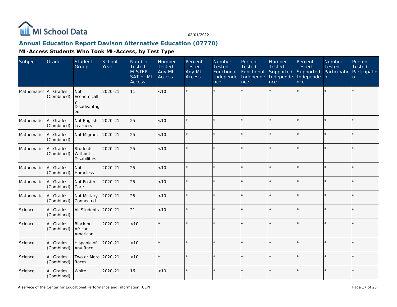

# **Annual Education Report Davison Alternative Education (07770)**

| Subject                | Grade                    | Student<br>Group                                         | School<br>Year | Number<br>Tested -<br>$M-STEP$<br>SAT or MI-<br><b>Access</b> | Number<br>Tested -<br>Any MI-<br>Access | Percent<br>Tested -<br>Any MI-<br>Access | Number<br>Tested -<br>Functional<br>Independe<br>nce | Percent<br>Tested -<br>Functional<br>Independe<br>nce | Number<br>Tested -<br>Supported<br>Independe<br>nce | Percent<br>Tested -<br>Supported<br>Independe n<br>nce | Number<br>Tested - | Percent<br>Tested -<br>Participatio Participatio<br>n. |
|------------------------|--------------------------|----------------------------------------------------------|----------------|---------------------------------------------------------------|-----------------------------------------|------------------------------------------|------------------------------------------------------|-------------------------------------------------------|-----------------------------------------------------|--------------------------------------------------------|--------------------|--------------------------------------------------------|
| Mathematics All Grades | (Combined)               | <b>Not</b><br>Economicall<br>$\vee$<br>Disadvantag<br>ed | 2020-21        | 11                                                            | < 10                                    |                                          |                                                      |                                                       |                                                     |                                                        |                    | $\star$                                                |
| Mathematics All Grades | (Combined)               | Not English<br>Learners                                  | 2020-21        | 25                                                            | $<10$                                   |                                          |                                                      | $\star$                                               |                                                     | ×.                                                     |                    | $\star$                                                |
| Mathematics All Grades | (Combined)               | Not Migrant                                              | 2020-21        | 25                                                            | < 10                                    |                                          |                                                      | $\star$                                               |                                                     | $\star$                                                |                    | $\star$                                                |
| Mathematics All Grades | (Combined)               | Students<br>l Without<br><b>Disabilities</b>             | 2020-21        | 25                                                            | $<10$                                   |                                          |                                                      |                                                       |                                                     | $\star$                                                |                    | $\star$                                                |
| Mathematics All Grades | (Combined)               | <b>Not</b><br>Homeless                                   | 2020-21        | 25                                                            | < 10                                    |                                          |                                                      | $\star$                                               |                                                     |                                                        |                    | $\star$                                                |
| Mathematics All Grades | (Combined)               | Not Foster<br>Care                                       | 2020-21        | 25                                                            | < 10                                    |                                          |                                                      | $\star$                                               |                                                     | ×.                                                     |                    | $\star$                                                |
| Mathematics All Grades | (Combined)               | Not Military<br>Connected                                | 2020-21        | 25                                                            | < 10                                    |                                          |                                                      | $\star$                                               |                                                     | $\star$                                                |                    | $\star$                                                |
| Science                | All Grades<br>(Combined) | <b>All Students</b>                                      | 2020-21        | 21                                                            | $<10$                                   |                                          |                                                      | $\star$                                               |                                                     | $\star$                                                |                    | $\star$                                                |
| Science                | All Grades<br>(Combined) | <b>Black or</b><br>African<br>American                   | 2020-21        | < 10                                                          | $\star$                                 |                                          |                                                      | $\star$                                               |                                                     |                                                        |                    | $\star$                                                |
| Science                | All Grades<br>(Combined) | Hispanic of<br>Any Race                                  | 2020-21        | < 10                                                          | $\star$                                 |                                          |                                                      | $\star$                                               |                                                     | ×.                                                     | $\star$            | $\star$                                                |
| Science                | All Grades<br>(Combined) | Two or More 2020-21<br>Races                             |                | < 10                                                          | $\star$                                 |                                          |                                                      | $\star$                                               |                                                     | $\star$                                                |                    | $\star$                                                |
| Science                | All Grades<br>(Combined) | White                                                    | 2020-21        | 16                                                            | 10                                      |                                          |                                                      | $\star$                                               |                                                     |                                                        |                    | $\star$                                                |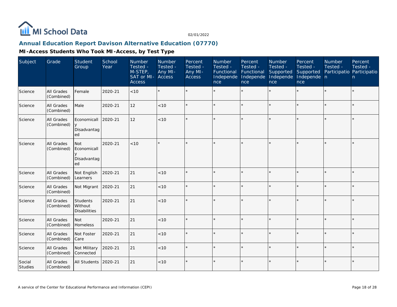

# **Annual Education Report Davison Alternative Education (07770)**

| Subject           | Grade                    | Student<br>Group                                         | School<br>Year | Number<br>Tested -<br>$M-STEP$<br>SAT or MI-<br>Access | Number<br>Tested -<br>Any MI-<br><b>Access</b> | Percent<br>Tested -<br>Any MI-<br><b>Access</b> | Number<br>Tested -<br>Functional<br>Independe<br>nce | Percent<br>Tested -<br>Functional<br>Independe<br>nce | <b>Number</b><br>Tested -<br>Supported<br>Independe<br>nce | Percent<br>Tested -<br>Supported<br>Independe n<br>nce | <b>Number</b><br>Tested - | Percent<br>Tested -<br>Participatio Participatio<br>n |
|-------------------|--------------------------|----------------------------------------------------------|----------------|--------------------------------------------------------|------------------------------------------------|-------------------------------------------------|------------------------------------------------------|-------------------------------------------------------|------------------------------------------------------------|--------------------------------------------------------|---------------------------|-------------------------------------------------------|
| Science           | All Grades<br>(Combined) | Female                                                   | 2020-21        | < 10                                                   | $\star$                                        |                                                 |                                                      |                                                       |                                                            | $\star$                                                |                           | $\star$                                               |
| Science           | All Grades<br>(Combined) | Male                                                     | 2020-21        | 12                                                     | < 10                                           |                                                 |                                                      | $\star$                                               |                                                            | $\star$                                                |                           | $\star$                                               |
| Science           | All Grades<br>(Combined) | Economicall<br>Disadvantag<br>ed                         | 2020-21        | 12                                                     | < 10                                           |                                                 |                                                      |                                                       |                                                            | $\star$                                                |                           | $\star$                                               |
| Science           | All Grades<br>(Combined) | <b>Not</b><br>Economicall<br>$\vee$<br>Disadvantag<br>ed | 2020-21        | < 10                                                   | $\star$                                        |                                                 |                                                      | $\star$                                               |                                                            |                                                        |                           | $\star$                                               |
| Science           | All Grades<br>(Combined) | Not English<br>Learners                                  | 2020-21        | 21                                                     | < 10                                           |                                                 |                                                      | $\star$                                               | ÷.                                                         | $\star$                                                | $\star$                   | $\star$                                               |
| Science           | All Grades<br>(Combined) | Not Migrant                                              | 2020-21        | 21                                                     | $<10$                                          |                                                 |                                                      | $\star$                                               | ÷,                                                         | $\star$                                                |                           | $\star$                                               |
| Science           | All Grades<br>(Combined) | Students<br>Without<br><b>Disabilities</b>               | 2020-21        | 21                                                     | < 10                                           |                                                 |                                                      | $\star$                                               |                                                            | $\star$                                                |                           | $\star$                                               |
| Science           | All Grades<br>(Combined) | <b>Not</b><br>Homeless                                   | 2020-21        | 21                                                     | < 10                                           |                                                 |                                                      | $\star$                                               |                                                            | $\star$                                                |                           | $\star$                                               |
| Science           | All Grades<br>(Combined) | Not Foster<br>Care                                       | 2020-21        | 21                                                     | < 10                                           |                                                 |                                                      | $\star$                                               | ÷                                                          | $\star$                                                |                           | $\star$                                               |
| Science           | All Grades<br>(Combined) | Not Military<br>Connected                                | 2020-21        | 21                                                     | < 10                                           |                                                 |                                                      | $\star$                                               | ÷                                                          | $\star$                                                |                           | ÷.                                                    |
| Social<br>Studies | All Grades<br>(Combined) | All Students                                             | 2020-21        | 21                                                     | < 10                                           |                                                 |                                                      | $\star$                                               |                                                            |                                                        |                           | $\star$                                               |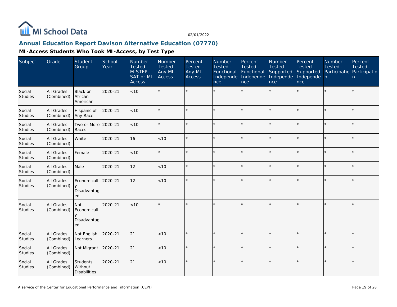

# **Annual Education Report Davison Alternative Education (07770)**

| Subject                  | Grade                           | Student<br>Group                                    | School<br>Year | Number<br>Tested -<br>M-STEP,<br>SAT or MI-<br><b>Access</b> | Number<br>Tested -<br>Any MI-<br>Access | Percent<br>Tested -<br>Any MI-<br>Access | Number<br>Tested -<br>Functional<br>Independe<br>nce | Percent<br>Tested -<br>Functional<br>Independe<br>nce | Number<br>Tested -<br>Supported<br>Independe<br>nce | Percent<br>Tested -<br>Supported<br>Independe n<br>nce | Number<br>Tested - | Percent<br>Tested -<br>Participatio Participatio<br>n |
|--------------------------|---------------------------------|-----------------------------------------------------|----------------|--------------------------------------------------------------|-----------------------------------------|------------------------------------------|------------------------------------------------------|-------------------------------------------------------|-----------------------------------------------------|--------------------------------------------------------|--------------------|-------------------------------------------------------|
| Social<br>Studies        | All Grades<br>(Combined)        | <b>Black or</b><br><b>African</b><br>American       | 2020-21        | < 10                                                         | $\star$                                 |                                          |                                                      |                                                       | ÷.                                                  | $\star$                                                |                    | $\star$                                               |
| Social<br>Studies        | All Grades<br>(Combined)        | Hispanic of<br>Any Race                             | 2020-21        | < 10                                                         | $\star$                                 |                                          |                                                      | $\star$                                               |                                                     | ×.                                                     |                    | $\star$                                               |
| Social<br>Studies        | <b>All Grades</b><br>(Combined) | Two or More 2020-21<br>Races                        |                | < 10                                                         | $\star$                                 |                                          |                                                      | $\star$                                               |                                                     | $\star$                                                |                    | $\star$                                               |
| Social<br>Studies        | All Grades<br>(Combined)        | White                                               | 2020-21        | 16                                                           | $<10$                                   |                                          |                                                      | $\star$                                               | ÷                                                   | $\star$                                                |                    | $\star$                                               |
| Social<br>Studies        | All Grades<br>(Combined)        | Female                                              | 2020-21        | < 10                                                         | $\star$                                 |                                          |                                                      | $\star$                                               |                                                     | $\star$                                                |                    | $\star$                                               |
| Social<br>Studies        | All Grades<br>(Combined)        | Male                                                | 2020-21        | 12                                                           | < 10                                    |                                          |                                                      |                                                       |                                                     | ×.                                                     |                    | $\star$                                               |
| Social<br><b>Studies</b> | All Grades<br>(Combined)        | Economicall<br>$\overline{y}$<br>Disadvantag<br>ed  | 2020-21        | 12                                                           | $<10$                                   |                                          |                                                      | $\star$                                               |                                                     | $\star$                                                |                    | $\star$                                               |
| Social<br>Studies        | All Grades<br>(Combined)        | <b>Not</b><br>Economicall<br>У<br>Disadvantag<br>ed | 2020-21        | < 10                                                         | $\star$                                 |                                          |                                                      |                                                       |                                                     |                                                        |                    | $\star$                                               |
| Social<br>Studies        | All Grades<br>(Combined)        | Not English<br>Learners                             | 2020-21        | 21                                                           | < 10                                    |                                          |                                                      | $\star$                                               |                                                     | $\star$                                                |                    | $\star$                                               |
| Social<br><b>Studies</b> | All Grades<br>(Combined)        | Not Migrant                                         | 2020-21        | 21                                                           | < 10                                    |                                          |                                                      | $\star$                                               |                                                     | ×.                                                     |                    | ÷.                                                    |
| Social<br>Studies        | All Grades<br>(Combined)        | Students<br>Without<br><b>Disabilities</b>          | 2020-21        | 21                                                           | < 10                                    |                                          |                                                      | $\star$                                               |                                                     |                                                        |                    | $\star$                                               |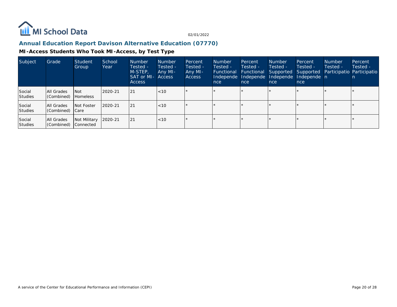

# **Annual Education Report Davison Alternative Education (07770)**

| Subject                  | Grade                        | Student<br>Group                 | School<br>Year | <b>Number</b><br>Tested -<br>M-STEP,<br><b>SAT or MI- Access</b><br>Access | <b>Number</b><br>Tested -<br>Any MI- | Percent<br>Tested -<br>Any MI-<br><b>Access</b> | <b>Number</b><br>Tested -<br>Functional<br>nce | Percent<br>Tested -<br>Functional<br>nce | <b>Number</b><br>Tested -<br>Independe Independe Independe<br>nce | Percent<br>Tested -<br>Supported Supported<br>Independe n<br>nce | <b>Number</b><br>Tested - | Percent<br>Tested -<br>Participatio Participatio |
|--------------------------|------------------------------|----------------------------------|----------------|----------------------------------------------------------------------------|--------------------------------------|-------------------------------------------------|------------------------------------------------|------------------------------------------|-------------------------------------------------------------------|------------------------------------------------------------------|---------------------------|--------------------------------------------------|
| Social<br><b>Studies</b> | All Grades<br>(Combined)     | l Not<br><b>Homeless</b>         | $2020 - 21$    | 21                                                                         | < 10                                 |                                                 |                                                |                                          |                                                                   |                                                                  |                           |                                                  |
| Social<br>Studies        | All Grades<br>Combined) Care | <b>Not Foster</b>                | $2020 - 21$    | 21                                                                         | <10                                  |                                                 |                                                |                                          |                                                                   | $\star$                                                          |                           |                                                  |
| Social<br>Studies        | All Grades<br>(Combined)     | Not Military<br><b>Connected</b> | 2020-21        | 21                                                                         | < 10                                 |                                                 |                                                |                                          |                                                                   |                                                                  |                           |                                                  |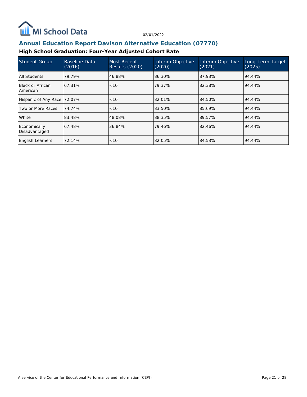

#### **Annual Education Report Davison Alternative Education (07770)**

# **High School Graduation: Four-Year Adjusted Cohort Rate**

| <b>Student Group</b>          | Baseline Data<br>(2016) | Most Recent<br><b>Results (2020)</b> | Interim Objective<br>(2020) | Interim Objective<br>(2021) | Long-Term Target<br>(2025) |
|-------------------------------|-------------------------|--------------------------------------|-----------------------------|-----------------------------|----------------------------|
| All Students                  | 79.79%                  | 46.88%                               | 86.30%                      | 87.93%                      | 94.44%                     |
| Black or African<br>American  | 67.31%                  | < 10                                 | 79.37%                      | 82.38%                      | 94.44%                     |
| Hispanic of Any Race          | 72.07%                  | < 10                                 | 82.01%                      | 84.50%                      | 94.44%                     |
| Two or More Races             | 74.74%                  | < 10                                 | 83.50%                      | 85.69%                      | 94.44%                     |
| White                         | 83.48%                  | 48.08%                               | 88.35%                      | 89.57%                      | 94.44%                     |
| Economically<br>Disadvantaged | 67.48%                  | 36.84%                               | 79.46%                      | 82.46%                      | 94.44%                     |
| <b>English Learners</b>       | 72.14%                  | < 10                                 | 82.05%                      | 84.53%                      | 94.44%                     |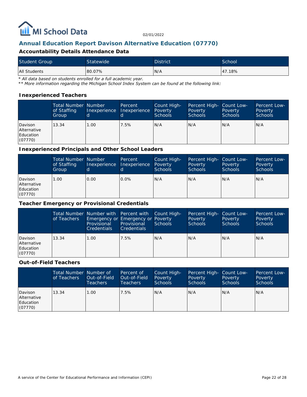

#### **Annual Education Report Davison Alternative Education (07770)**

#### **Accountability Details Attendance Data**

| <b>Student Group</b> | <b>Statewide</b> | <b>District</b> | School |
|----------------------|------------------|-----------------|--------|
| All Students         | 80.07%           | N/A             | 47.18% |

*\* All data based on students enrolled for a full academic year.*

*\*\* More information regarding the Michigan School Index System can be found at the following link:*

#### **Inexperienced Teachers**

|                                                       | <b>Total Number Number</b><br>of Staffing<br>Group | Inexperience | Percent<br>Inexperience | Count High-<br>Poverty<br><b>Schools</b> | Percent High- Count Low-<br>Poverty<br><b>Schools</b> | Poverty<br><b>Schools</b> | Percent Low-<br>Poverty<br>Schools |
|-------------------------------------------------------|----------------------------------------------------|--------------|-------------------------|------------------------------------------|-------------------------------------------------------|---------------------------|------------------------------------|
| Davison<br><b>Alternative</b><br>Education<br>(07770) | 13.34                                              | 1.00         | 7.5%                    | N/A                                      | N/A                                                   | N/A                       | IN/A                               |

#### **Inexperienced Principals and Other School Leaders**

|                                                       | <b>Total Number Number</b><br>of Staffing<br>Group | Inexperience | Percent<br>Inexperience | Count High-<br>Poverty<br>Schools | Percent High- Count Low-<br>Poverty<br><b>Schools</b> | Poverty<br><b>Schools</b> | Percent Low-<br>Poverty<br>Schools |
|-------------------------------------------------------|----------------------------------------------------|--------------|-------------------------|-----------------------------------|-------------------------------------------------------|---------------------------|------------------------------------|
| Davison<br><b>Alternative</b><br>Education<br>(07770) | .00.                                               | 0.00         | $0.0\%$                 | N/A                               | IN/A                                                  | N/A                       | IN/A                               |

#### **Teacher Emergency or Provisional Credentials**

|                                                | of Teachers | Total Number Number with Percent with Count High-<br>Emergency or Emergency or Poverty<br>Provisional<br><b>Credentials</b> | Provisional<br><b>Credentials</b> | Schools | Percent High- Count Low-<br>Poverty<br><b>Schools</b> | Poverty<br><b>Schools</b> | Percent Low-<br>Poverty<br><b>Schools</b> |
|------------------------------------------------|-------------|-----------------------------------------------------------------------------------------------------------------------------|-----------------------------------|---------|-------------------------------------------------------|---------------------------|-------------------------------------------|
| Davison<br>Alternative<br>Education<br>(07770) | 13.34       | 1.00                                                                                                                        | 7.5%                              | N/A     | N/A                                                   | N/A                       | N/A                                       |

#### **Out-of-Field Teachers**

|                                                | Total Number Number of<br>of Teachers | Out-of-Field<br>Teachers | Percent of<br>Out-of-Field<br>Teachers | Count High-<br>Poverty<br>Schools | Percent High- Count Low-<br>Poverty<br><b>Schools</b> | Poverty<br><b>Schools</b> | Percent Low-<br>Poverty<br><b>Schools</b> |
|------------------------------------------------|---------------------------------------|--------------------------|----------------------------------------|-----------------------------------|-------------------------------------------------------|---------------------------|-------------------------------------------|
| Davison<br>Alternative<br>Education<br>(07770) | 13.34                                 | 1.00                     | 7.5%                                   | N/A                               | N/A                                                   | N/A                       | N/A                                       |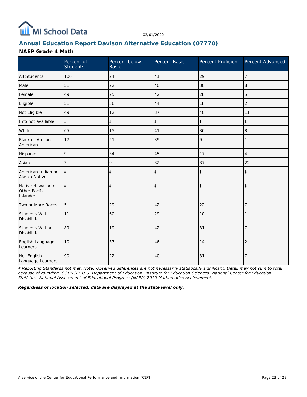

#### **Annual Education Report Davison Alternative Education (07770)**

#### **NAEP Grade 4 Math**

|                                                 | Percent of<br><b>Students</b> | Percent below<br><b>Basic</b> | Percent Basic | Percent Proficient Percent Advanced |                |
|-------------------------------------------------|-------------------------------|-------------------------------|---------------|-------------------------------------|----------------|
| <b>All Students</b>                             | 100                           | 24                            | 41            | 29                                  | 7              |
| Male                                            | 51                            | 22                            | 40            | 30                                  | 8              |
| Female                                          | 49                            | 25                            | 42            | 28                                  | 5              |
| Eligible                                        | 51                            | 36                            | 44            | 18                                  | $\overline{2}$ |
| Not Eligible                                    | 49                            | 12                            | 37            | 40                                  | 11             |
| Info not available                              | $\ddagger$                    | $\ddagger$                    | $\ddagger$    | $\ddagger$                          | $\ddagger$     |
| White                                           | 65                            | 15                            | 41            | 36                                  | 8              |
| Black or African<br>American                    | 17                            | 51                            | 39            | 9                                   |                |
| Hispanic                                        | 9                             | 34                            | 45            | 17                                  | $\overline{4}$ |
| Asian                                           | 3                             | 9                             | 32            | 37                                  | 22             |
| American Indian or<br>Alaska Native             | $\ddagger$                    | $\ddagger$                    | $\ddagger$    | $\ddagger$                          | $\ddagger$     |
| Native Hawaiian or<br>Other Pacific<br>Islander | $\ddagger$                    | $\ddagger$                    | $\ddagger$    | $\ddagger$                          | $\ddagger$     |
| Two or More Races                               | 5                             | 29                            | 42            | 22                                  | 7              |
| Students With<br><b>Disabilities</b>            | 11                            | 60                            | 29            | 10                                  |                |
| Students Without<br><b>Disabilities</b>         | 89                            | 19                            | 42            | 31                                  | $\overline{7}$ |
| English Language<br>Learners                    | 10                            | 37                            | 46            | 14                                  | $\overline{2}$ |
| Not English<br>Language Learners                | 90                            | 22                            | 40            | 31                                  | 7              |

*‡ Reporting Standards not met. Note: Observed differences are not necessarily statistically significant. Detail may not sum to total because of rounding. SOURCE: U.S. Department of Education. Institute for Education Sciences. National Center for Education Statistics. National Assessment of Educational Progress (NAEP) 2019 Mathematics Achievement.*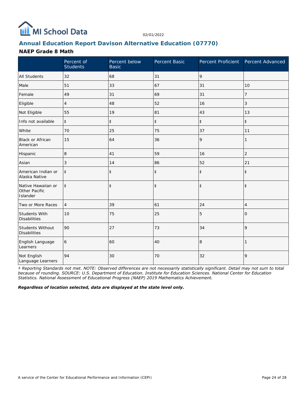

#### **Annual Education Report Davison Alternative Education (07770)**

#### **NAEP Grade 8 Math**

|                                                 | Percent of<br><b>Students</b> | Percent below<br><b>Basic</b> | Percent Basic |            | Percent Proficient Percent Advanced |
|-------------------------------------------------|-------------------------------|-------------------------------|---------------|------------|-------------------------------------|
| <b>All Students</b>                             | 32                            | 68                            | 31            | 9          |                                     |
| Male                                            | 51                            | 33                            | 67            | 31         | 10                                  |
| Female                                          | 49                            | 31                            | 69            | 31         | 7                                   |
| Eligible                                        | $\overline{4}$                | 48                            | 52            | 16         | 3                                   |
| Not Eligible                                    | 55                            | 19                            | 81            | 43         | 13                                  |
| Info not available                              | $\ddagger$                    | $\ddagger$                    | $\ddagger$    | $\ddagger$ | $\ddagger$                          |
| White                                           | 70                            | 25                            | 75            | 37         | 11                                  |
| Black or African<br>American                    | 15                            | 64                            | 36            | 9          | 1                                   |
| Hispanic                                        | 8                             | 41                            | 59            | 16         | $\overline{2}$                      |
| Asian                                           | 3                             | 14                            | 86            | 52         | 21                                  |
| American Indian or<br>Alaska Native             | $\ddagger$                    | $\ddagger$                    | $\ddagger$    | $\ddagger$ | $\ddagger$                          |
| Native Hawaiian or<br>Other Pacific<br>Islander | $\ddagger$                    | $\ddagger$                    | $\ddagger$    | $\ddagger$ | $\ddagger$                          |
| Two or More Races                               | $\overline{4}$                | 39                            | 61            | 24         | 4                                   |
| Students With<br><b>Disabilities</b>            | 10                            | 75                            | 25            | 5          | 0                                   |
| Students Without<br><b>Disabilities</b>         | 90                            | 27                            | 73            | 34         | 9                                   |
| English Language<br>Learners                    | 6                             | 60                            | 40            | 8          |                                     |
| Not English<br>Language Learners                | 94                            | 30                            | 70            | 32         | 9                                   |

*‡ Reporting Standards not met. NOTE: Observed differences are not necessarily statistically significant. Detail may not sum to total because of rounding. SOURCE: U.S. Department of Education. Institute for Education Sciences. National Center for Education Statistics. National Assessment of Educational Progress (NAEP) 2019 Mathematics Achievement.*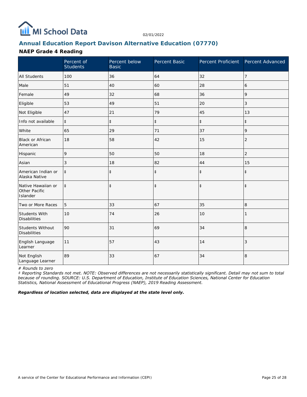

#### **Annual Education Report Davison Alternative Education (07770)**

#### **NAEP Grade 4 Reading**

|                                                 | Percent of<br>Students | Percent below<br><b>Basic</b> | Percent Basic | Percent Proficient | Percent Advanced |
|-------------------------------------------------|------------------------|-------------------------------|---------------|--------------------|------------------|
| <b>All Students</b>                             | 100                    | 36                            | 64            | 32                 | $\overline{7}$   |
| Male                                            | 51                     | 40                            | 60            | 28                 | 6                |
| Female                                          | 49                     | 32                            | 68            | 36                 | 9                |
| Eligible                                        | 53                     | 49                            | 51            | 20                 | 3                |
| Not Eligible                                    | 47                     | 21                            | 79            | 45                 | 13               |
| Info not available                              | $\ddagger$             | $\ddagger$                    | $\ddagger$    | $\ddagger$         | $\ddagger$       |
| White                                           | 65                     | 29                            | 71            | 37                 | 9                |
| <b>Black or African</b><br>American             | 18                     | 58                            | 42            | 15                 | 2                |
| Hispanic                                        | 9                      | 50                            | 50            | 18                 | $\overline{c}$   |
| Asian                                           | 3                      | 18                            | 82            | 44                 | 15               |
| American Indian or<br>Alaska Native             | $\ddagger$             | $\ddagger$                    | $\ddagger$    | $\ddagger$         | $\ddagger$       |
| Native Hawaiian or<br>Other Pacific<br>Islander | $\ddagger$             | $\ddagger$                    | $\ddagger$    | $\ddagger$         | $\ddagger$       |
| Two or More Races                               | 5                      | 33                            | 67            | 35                 | 8                |
| Students With<br><b>Disabilities</b>            | 10                     | 74                            | 26            | 10                 |                  |
| Students Without<br><b>Disabilities</b>         | 90                     | 31                            | 69            | 34                 | $\,8\,$          |
| English Language<br>Learner                     | 11                     | 57                            | 43            | 14                 | 3                |
| Not English<br>Language Learner                 | 89                     | 33                            | 67            | 34                 | 8                |

*# Rounds to zero*

*‡ Reporting Standards not met. NOTE: Observed differences are not necessarily statistically significant. Detail may not sum to total because of rounding. SOURCE: U.S. Department of Education, Institute of Education Sciences, National Center for Education Statistics, National Assessment of Educational Progress (NAEP), 2019 Reading Assessment.*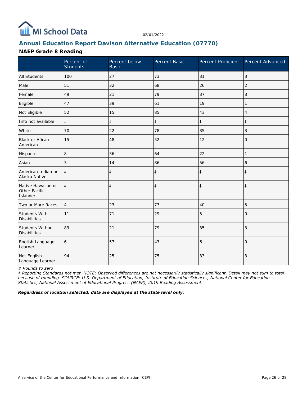

#### **Annual Education Report Davison Alternative Education (07770)**

#### **NAEP Grade 8 Reading**

|                                                 | Percent of<br><b>Students</b> | Percent below<br><b>Basic</b> | Percent Basic | Percent Proficient Percent Advanced |                |
|-------------------------------------------------|-------------------------------|-------------------------------|---------------|-------------------------------------|----------------|
| <b>All Students</b>                             | 100                           | 27                            | 73            | 31                                  | 3              |
| Male                                            | 51                            | 32                            | 68            | 26                                  | $\overline{2}$ |
| Female                                          | 49                            | 21                            | 79            | 37                                  | 3              |
| Eligible                                        | 47                            | 39                            | 61            | 19                                  |                |
| Not Eligible                                    | 52                            | 15                            | 85            | 43                                  | 4              |
| Info not available                              | $\ddagger$                    | $\ddagger$                    | $\ddagger$    | $\ddagger$                          | $\ddagger$     |
| White                                           | 70                            | 22                            | 78            | 35                                  | 3              |
| <b>Black or Afican</b><br>American              | 15                            | 48                            | 52            | 12                                  | 0              |
| Hispanic                                        | 8                             | 36                            | 64            | 22                                  | 1              |
| Asian                                           | 3                             | 14                            | 86            | 56                                  | 6              |
| American Indian or<br>Alaska Native             | $\ddagger$                    | $\ddagger$                    | $\ddagger$    | $\ddagger$                          | $\ddagger$     |
| Native Hawaiian or<br>Other Pacific<br>Islander | $\ddagger$                    | $\ddagger$                    | $\ddagger$    | $\ddagger$                          | $\ddagger$     |
| Two or More Races                               | $\overline{4}$                | 23                            | 77            | 40                                  | 5              |
| Students With<br><b>Disabilities</b>            | 11                            | 71                            | 29            | 5                                   | $\Omega$       |
| Students Without<br><b>Disabilities</b>         | 89                            | 21                            | 79            | 35                                  | 3              |
| English Language<br>Learner                     | 6                             | 57                            | 43            | 6                                   | $\Omega$       |
| Not English<br>Language Learner                 | 94                            | 25                            | 75            | 33                                  | 3              |

*# Rounds to zero*

*‡ Reporting Standards not met. NOTE: Observed differences are not necessarily statistically significant. Detail may not sum to total because of rounding. SOURCE: U.S. Department of Education, Institute of Education Sciences, National Center for Education Statistics, National Assessment of Educational Progress (NAEP), 2019 Reading Assessment.*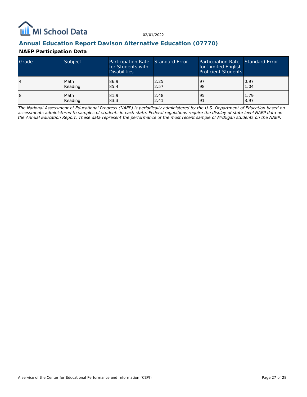

#### **Annual Education Report Davison Alternative Education (07770)**

#### **NAEP Participation Data**

| Grade | Subject | Participation Rate Standard Error<br>for Students with<br><b>Disabilities</b> |      | Participation Rate Standard Error<br>for Limited English<br><b>Proficient Students</b> |      |
|-------|---------|-------------------------------------------------------------------------------|------|----------------------------------------------------------------------------------------|------|
| 4     | Math    | 86.9                                                                          | 2.25 | 197                                                                                    | 0.97 |
|       | Reading | 85.4                                                                          | 2.57 | 98                                                                                     | 1.04 |
| 18    | Math    | 81.9                                                                          | 2.48 | 95                                                                                     | 1.79 |
|       | Reading | 83.3                                                                          | 2.41 | <u>o</u>                                                                               | 3.97 |

*The National Assessment of Educational Progress (NAEP) is periodically administered by the U.S. Department of Education based on assessments administered to samples of students in each state. Federal regulations require the display of state level NAEP data on the Annual Education Report. These data represent the performance of the most recent sample of Michigan students on the NAEP.*